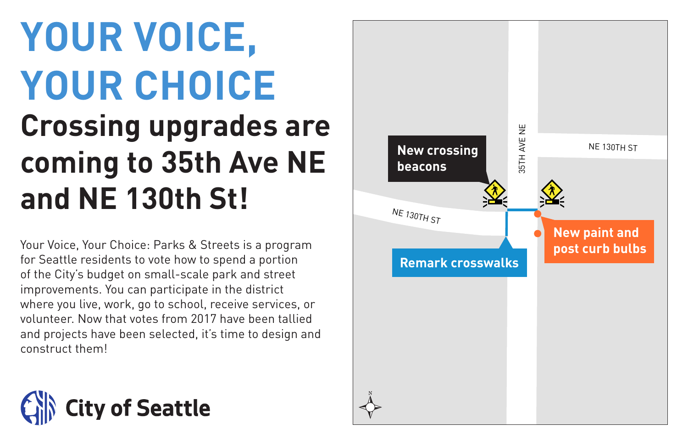### **YOUR VOICE, YOUR CHOICE Crossing upgrades are coming to 35th Ave NE and NE 130th St!** NE 130TH ST

Your Voice, Your Choice: Parks & Streets is a program for Seattle residents to vote how to spend a portion of the City's budget on small-scale park and street improvements. You can participate in the district where you live, work, go to school, receive services, or volunteer. Now that votes from 2017 have been tallied and projects have been selected, it's time to design and construct them!



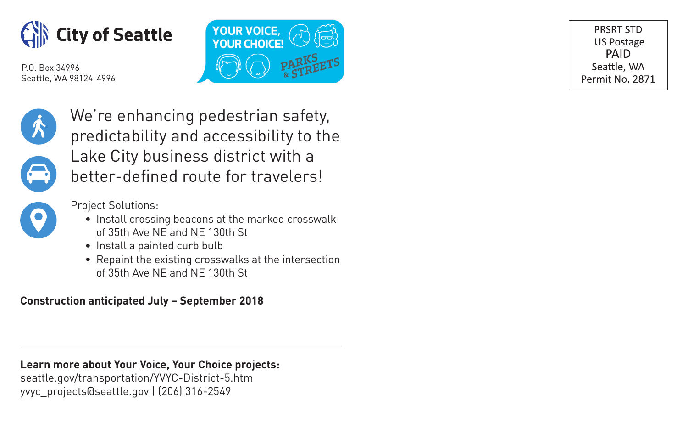



PRSRT STD **US Postage** PAID Seattle, WA Permit No. 2871



We're enhancing pedestrian safety, predictability and accessibility to the Lake City business district with a better-defined route for travelers!



Project Solutions:

- Install crossing beacons at the marked crosswalk of 35th Ave NE and NE 130th St
- Install a painted curb bulb
- Repaint the existing crosswalks at the intersection of 35th Ave NE and NE 130th St

**Construction anticipated July – September 2018**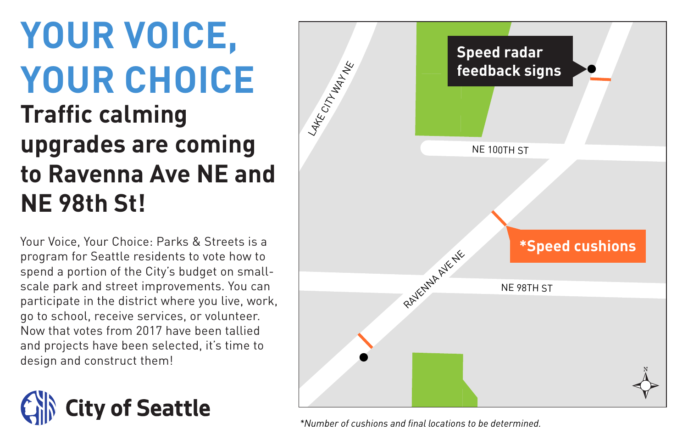## **YOUR VOICE, YOUR CHOICE**

### **Traffic calming upgrades are coming to Ravenna Ave NE and NE 98th St!**

Your Voice, Your Choice: Parks & Streets is a program for Seattle residents to vote how to spend a portion of the City's budget on smallscale park and street improvements. You can participate in the district where you live, work, go to school, receive services, or volunteer. Now that votes from 2017 have been tallied and projects have been selected, it's time to design and construct them!





*\*Number of cushions and final locations to be determined.*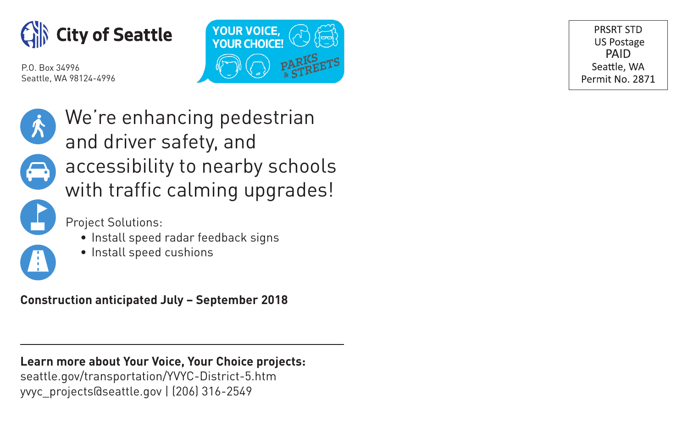



PRSRT STD **US Postage** PAID Seattle, WA Permit No. 2871



We're enhancing pedestrian and driver safety, and accessibility to nearby schools with traffic calming upgrades!

Project Solutions:

- Install speed radar feedback signs
- Install speed cushions

**Construction anticipated July – September 2018**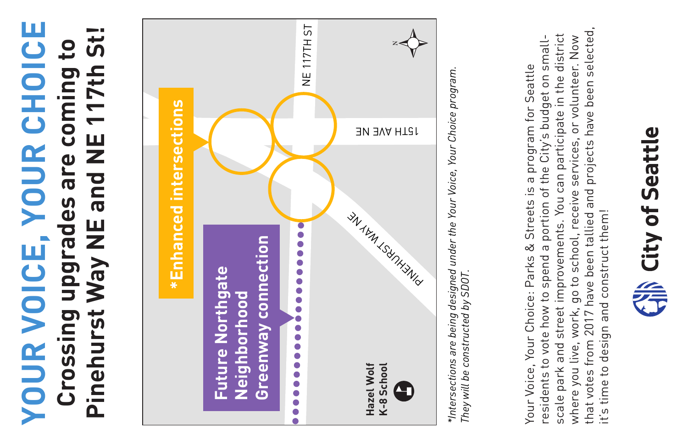# **YOUR VOICE, YOUR CHOICE YOUR VOICE, YOUR CHOICE Pinehurst Way NE and NE 117th St! Crossing upgrades are coming to**  Pinehurst Way NE and NE 117th St  $\mathbf{c}$ Crossing upgrades are coming



*\*Intersections are being designed under the Your Voice, Your Choice program.*  \*Intersections are being designed under the Your Voice, Your Choice program. They will be constructed by SDOT. *They will be constructed by SDOT.*

that votes from 2017 have been tallied and projects have been selected, that votes from 2017 have been tallied and projects have been selected, scale park and street improvements. You can participate in the district scale park and street improvements. You can participate in the district where you live, work, go to school, receive services, or volunteer. Now residents to vote how to spend a portion of the City's budget on smallresidents to vote how to spend a portion of the City's budget on smallwhere you live, work, go to school, receive services, or volunteer. Now Your Voice, Your Choice: Parks & Streets is a program for Seattle Your Voice, Your Choice: Parks & Streets is a program for Seattle it's time to design and construct them! it's time to design and construct them!

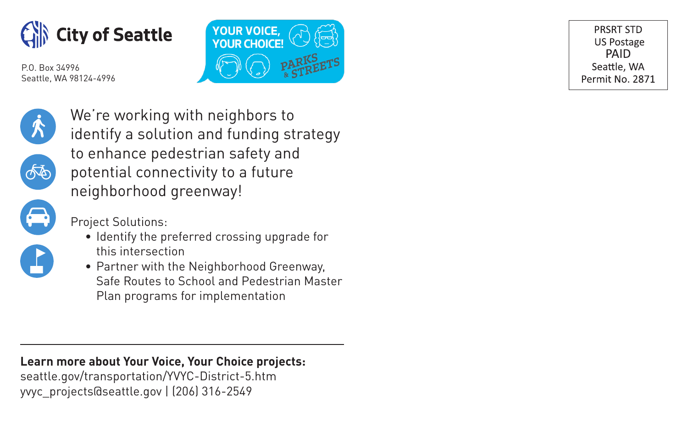



PRSRT STD **US Postage** PAID Seattle, WA Permit No. 2871



௸

We're working with neighbors to identify a solution and funding strategy to enhance pedestrian safety and potential connectivity to a future neighborhood greenway!



Project Solutions:

- Identify the preferred crossing upgrade for this intersection
- Partner with the Neighborhood Greenway, Safe Routes to School and Pedestrian Master Plan programs for implementation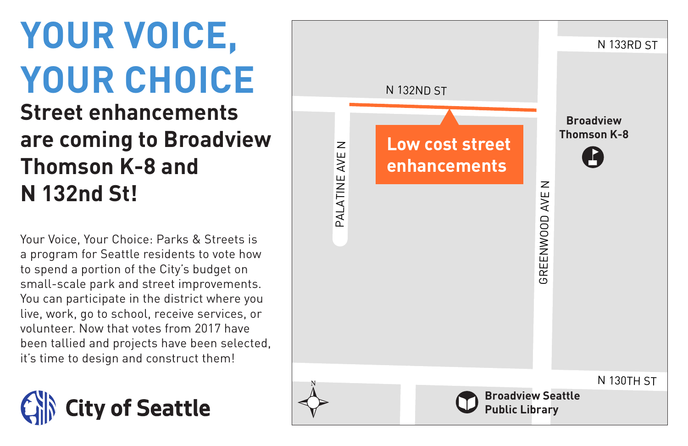## **YOUR VOICE, YOUR CHOICE**

#### **Street enhancements are coming to Broadview Thomson K-8 and N 132nd St!**

Your Voice, Your Choice: Parks & Streets is a program for Seattle residents to vote how to spend a portion of the City's budget on small-scale park and street improvements. You can participate in the district where you live, work, go to school, receive services, or volunteer. Now that votes from 2017 have been tallied and projects have been selected, it's time to design and construct them!